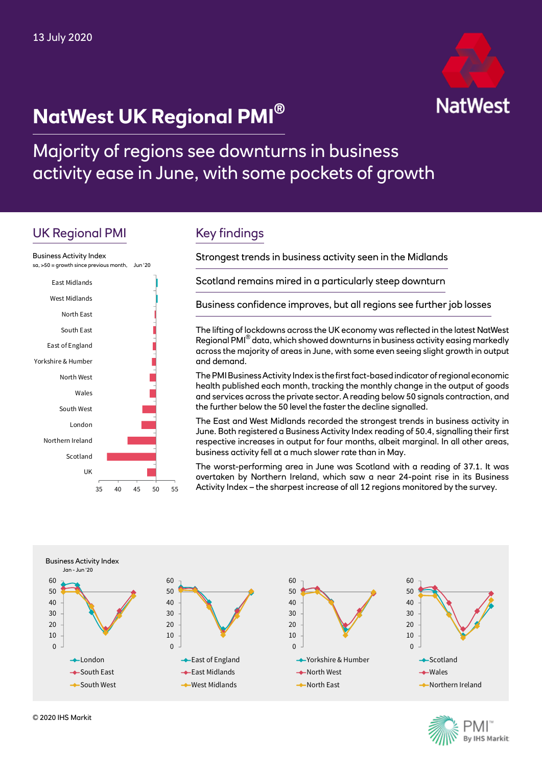# **NatWest UK Regional PMI®**



Majority of regions see downturns in business activity ease in June, with some pockets of growth

# UK Regional PMI



# Key findings

Strongest trends in business activity seen in the Midlands

Scotland remains mired in a particularly steep downturn

Business confidence improves, but all regions see further job losses

The lifting of lockdowns across the UK economy was reflected in the latest NatWest Regional PMI® data, which showed downturns in business activity easing markedly across the majority of areas in June, with some even seeing slight growth in output and demand.

The PMI Business Activity Index is the first fact-based indicator of regional economic health published each month, tracking the monthly change in the output of goods and services across the private sector. A reading below 50 signals contraction, and the further below the 50 level the faster the decline signalled.

The East and West Midlands recorded the strongest trends in business activity in June. Both registered a Business Activity Index reading of 50.4, signalling their first respective increases in output for four months, albeit marginal. In all other areas, business activity fell at a much slower rate than in May.

The worst-performing area in June was Scotland with a reading of 37.1. It was overtaken by Northern Ireland, which saw a near 24-point rise in its Business Activity Index – the sharpest increase of all 12 regions monitored by the survey.



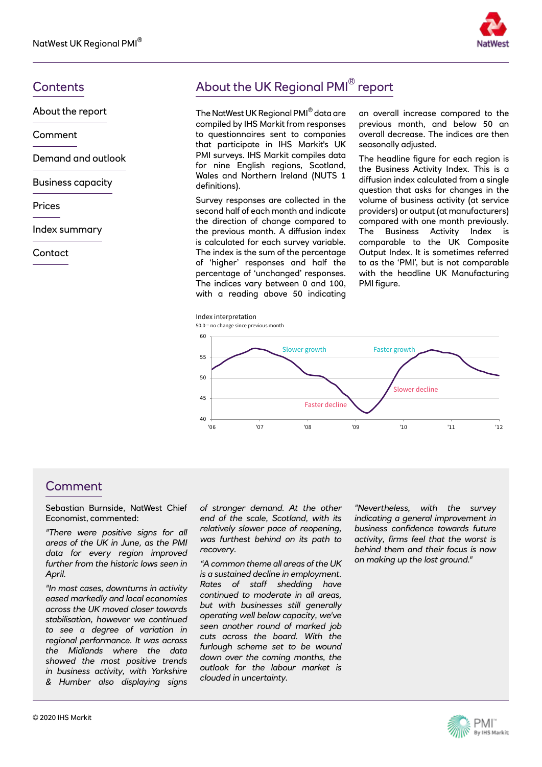

About the report

Comment

Demand and outlook

Business capacity

Prices

Index summary

**Contact** 

# Contents **Contents About the UK Regional PMI**<sup>®</sup> report

The NatWest UK Regional PMI® data are compiled by IHS Markit from responses to questionnaires sent to companies that participate in IHS Markit's UK PMI surveys. IHS Markit compiles data for nine English regions, Scotland, Wales and Northern Ireland (NUTS 1 definitions).

Survey responses are collected in the second half of each month and indicate the direction of change compared to the previous month. A diffusion index is calculated for each survey variable. The index is the sum of the percentage of 'higher' responses and half the percentage of 'unchanged' responses. The indices vary between 0 and 100, with a reading above 50 indicating an overall increase compared to the previous month, and below 50 an overall decrease. The indices are then seasonally adjusted.

The headline figure for each region is the Business Activity Index. This is a diffusion index calculated from a single question that asks for changes in the volume of business activity (at service providers) or output (at manufacturers) compared with one month previously. The Business Activity Index is comparable to the UK Composite Output Index. It is sometimes referred to as the 'PMI', but is not comparable with the headline UK Manufacturing PMI figure.



#### Comment

Sebastian Burnside, NatWest Chief Economist, commented:

*"There were positive signs for all areas of the UK in June, as the PMI data for every region improved further from the historic lows seen in April.* 

*"In most cases, downturns in activity eased markedly and local economies across the UK moved closer towards stabilisation, however we continued to see a degree of variation in regional performance. It was across the Midlands where the data showed the most positive trends in business activity, with Yorkshire & Humber also displaying signs* 

*of stronger demand. At the other end of the scale, Scotland, with its relatively slower pace of reopening, was furthest behind on its path to recovery.* 

*"A common theme all areas of the UK is a sustained decline in employment. Rates of staff shedding have continued to moderate in all areas, but with businesses still generally operating well below capacity, we've seen another round of marked job cuts across the board. With the furlough scheme set to be wound down over the coming months, the outlook for the labour market is clouded in uncertainty.* 

*"Nevertheless, with the survey indicating a general improvement in business confidence towards future activity, firms feel that the worst is behind them and their focus is now on making up the lost ground."*

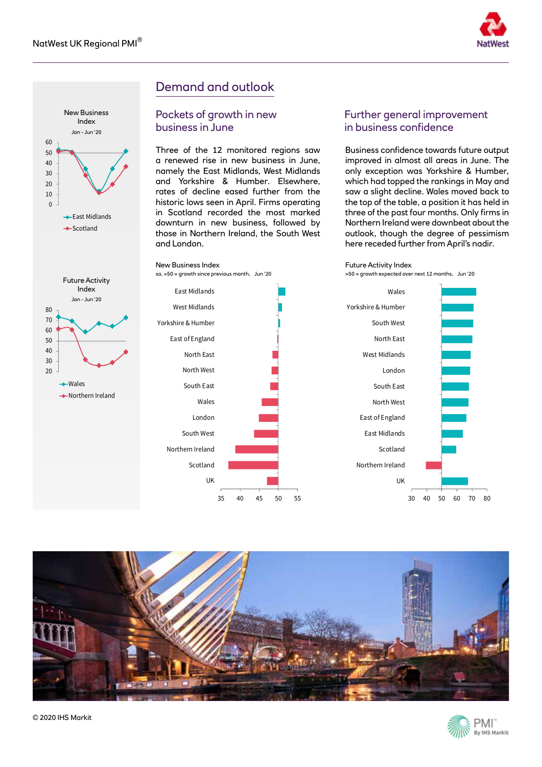



# Demand and outlook

#### Pockets of growth in new business in June

Three of the 12 monitored regions saw a renewed rise in new business in June, namely the East Midlands, West Midlands and Yorkshire & Humber. Elsewhere, rates of decline eased further from the historic lows seen in April. Firms operating in Scotland recorded the most marked downturn in new business, followed by those in Northern Ireland, the South West and London.



#### Further general improvement in business confidence

Business confidence towards future output improved in almost all areas in June. The only exception was Yorkshire & Humber, which had topped the rankings in May and saw a slight decline. Wales moved back to the top of the table, a position it has held in three of the past four months. Only firms in Northern Ireland were downbeat about the outlook, though the degree of pessimism here receded further from April's nadir.



>50 = growth expected over next 12 months, Jun '20





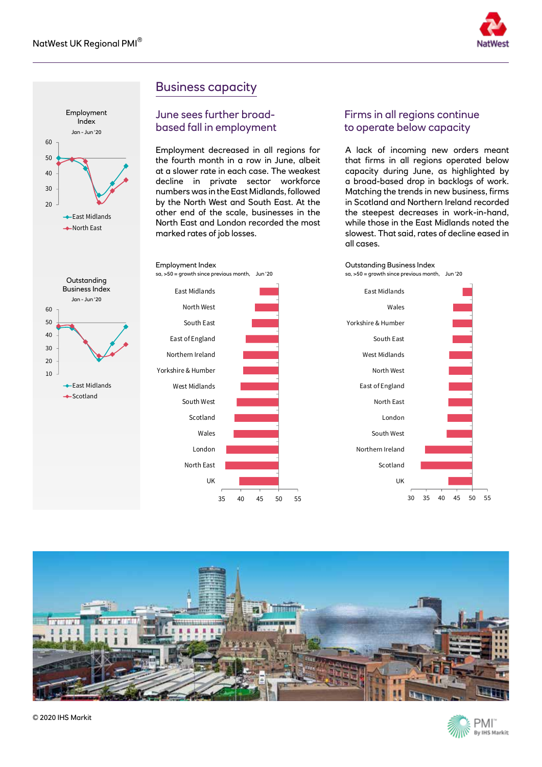



**Outstanding** Business Index Jan - Jun '20

**East Midlands** Scotland

## Business capacity

#### June sees further broadbased fall in employment

Employment decreased in all regions for the fourth month in a row in June, albeit at a slower rate in each case. The weakest decline in private sector workforce numbers was in the East Midlands, followed by the North West and South East. At the other end of the scale, businesses in the North East and London recorded the most marked rates of job losses.



#### Firms in all regions continue to operate below capacity

A lack of incoming new orders meant that firms in all regions operated below capacity during June, as highlighted by a broad-based drop in backlogs of work. Matching the trends in new business, firms in Scotland and Northern Ireland recorded the steepest decreases in work-in-hand, while those in the East Midlands noted the slowest. That said, rates of decline eased in all cases.









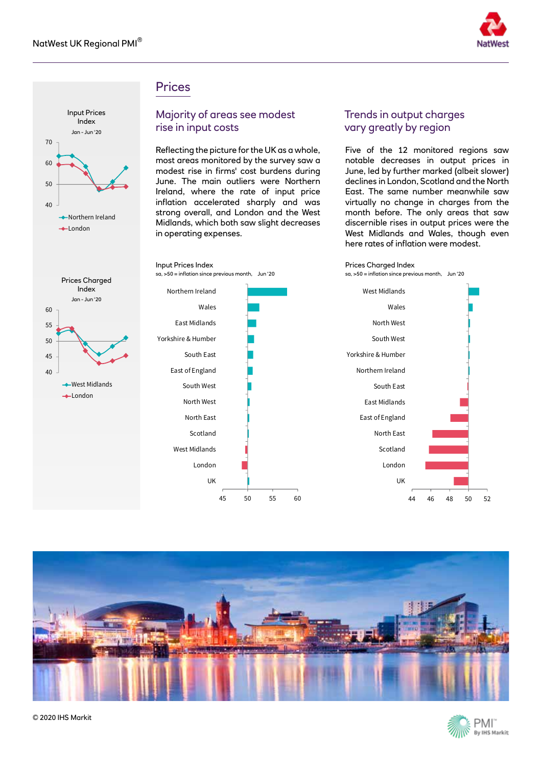

#### **Prices**

Input Prices Index



#### Majority of areas see modest rise in input costs

Reflecting the picture for the UK as a whole, most areas monitored by the survey saw a modest rise in firms' cost burdens during June. The main outliers were Northern Ireland, where the rate of input price inflation accelerated sharply and was strong overall, and London and the West Midlands, which both saw slight decreases in operating expenses.

#### Trends in output charges vary greatly by region

Five of the 12 monitored regions saw notable decreases in output prices in June, led by further marked (albeit slower) declines in London, Scotland and the North East. The same number meanwhile saw virtually no change in charges from the month before. The only areas that saw discernible rises in output prices were the West Midlands and Wales, though even here rates of inflation were modest.



sa, >50 = inflation since previous month, Jun '20